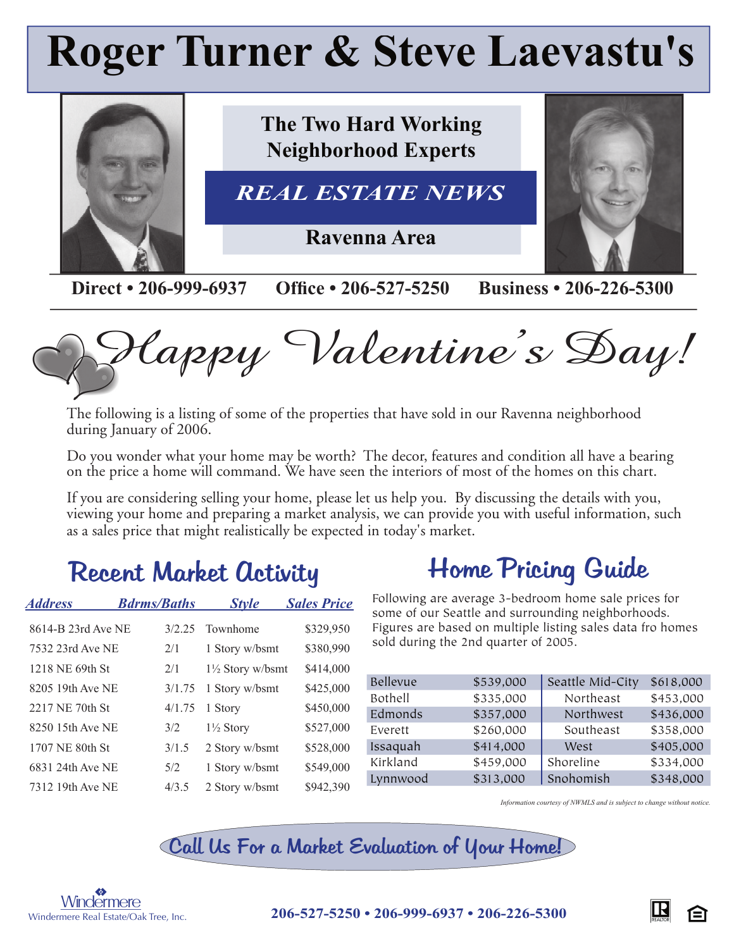# **Roger Turner & Steve Laevastu's**



Happy Valentine's Day!

The following is a listing of some of the properties that have sold in our Ravenna neighborhood during January of 2006.

Do you wonder what your home may be worth? The decor, features and condition all have a bearing on the price a home will command. We have seen the interiors of most of the homes on this chart.

If you are considering selling your home, please let us help you. By discussing the details with you, viewing your home and preparing a market analysis, we can provide you with useful information, such as a sales price that might realistically be expected in today's market.

#### Recent Market Activity

| <b>Address</b>     | <b><i>Bdrms/Baths</i></b> |         | <b>Style</b>                | <b>Sales Price</b> |
|--------------------|---------------------------|---------|-----------------------------|--------------------|
| 8614-B 23rd Ave NE |                           | 3/2, 25 | Townhome                    | \$329,950          |
| 7532 23rd Ave NE   |                           | 2/1     | 1 Story w/bsmt              | \$380,990          |
| 1218 NE 69th St    |                           | 2/1     | $1\frac{1}{2}$ Story w/bsmt | \$414,000          |
| 8205 19th Ave NE   |                           | 3/1.75  | 1 Story w/bsmt              | \$425,000          |
| 2217 NE 70th St    |                           | 4/1.75  | 1 Story                     | \$450,000          |
| 8250 15th Ave NE   |                           | 3/2     | $1\frac{1}{2}$ Story        | \$527,000          |
| 1707 NE 80th St    |                           | 3/1.5   | 2 Story w/bsmt              | \$528,000          |
| 6831 24th Ave NE   |                           | 5/2     | 1 Story w/bsmt              | \$549,000          |
| 7312 19th Ave NE   |                           | 4/3.5   | 2 Story w/bsmt              | \$942,390          |
|                    |                           |         |                             |                    |

### Home Pricing Guide

Following are average 3-bedroom home sale prices for some of our Seattle and surrounding neighborhoods. Figures are based on multiple listing sales data fro homes sold during the 2nd quarter of 2005.

| Bellevue | \$539,000 | Seattle Mid-City | \$618,000 |
|----------|-----------|------------------|-----------|
| Bothell  | \$335,000 | Northeast        | \$453,000 |
| Edmonds  | \$357,000 | Northwest        | \$436,000 |
| Everett  | \$260,000 | Southeast        | \$358,000 |
| Issaquah | \$414,000 | West             | \$405,000 |
| Kirkland | \$459,000 | Shoreline        | \$334,000 |
| Lynnwood | \$313,000 | Snohomish        | \$348,000 |

*Information courtesy of NWMLS and is subject to change without notice.*

Call Us For a Market Evaluation of Your Home!



<sup>S</sup> **206-527-5250 • 206-999-6937 • 206-226-5300**